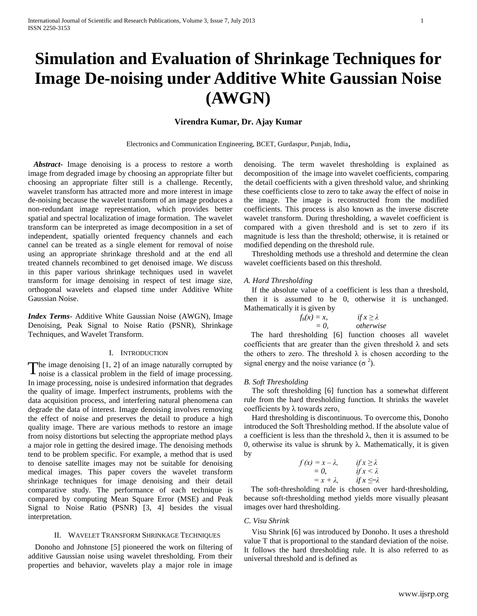# **Simulation and Evaluation of Shrinkage Techniques for Image De-noising under Additive White Gaussian Noise (AWGN)**

## **Virendra Kumar, Dr. Ajay Kumar**

Electronics and Communication Engineering, BCET, Gurdaspur, Punjab, India,

*Abstract***-** Image denoising is a process to restore a worth image from degraded image by choosing an appropriate filter but choosing an appropriate filter still is a challenge. Recently, wavelet transform has attracted more and more interest in image de-noising because the wavelet transform of an image produces a non-redundant image representation, which provides better spatial and spectral localization of image formation. The wavelet transform can be interpreted as image decomposition in a set of independent, spatially oriented frequency channels and each cannel can be treated as a single element for removal of noise using an appropriate shrinkage threshold and at the end all treated channels recombined to get denoised image. We discuss in this paper various shrinkage techniques used in wavelet transform for image denoising in respect of test image size, orthogonal wavelets and elapsed time under Additive White Gaussian Noise.

*Index Terms*- Additive White Gaussian Noise (AWGN), Image Denoising, Peak Signal to Noise Ratio (PSNR), Shrinkage Techniques, and Wavelet Transform.

#### I. INTRODUCTION

he image denoising [1, 2] of an image naturally corrupted by The image denoising  $[1, 2]$  of an image naturally corrupted by noise is a classical problem in the field of image processing. In image processing, noise is undesired information that degrades the quality of image. Imperfect instruments, problems with the data acquisition process, and interfering natural phenomena can degrade the data of interest. Image denoising involves removing the effect of noise and preserves the detail to produce a high quality image. There are various methods to restore an image from noisy distortions but selecting the appropriate method plays a major role in getting the desired image. The denoising methods tend to be problem specific. For example, a method that is used to denoise satellite images may not be suitable for denoising medical images. This paper covers the wavelet transform shrinkage techniques for image denoising and their detail comparative study. The performance of each technique is compared by computing Mean Square Error (MSE) and Peak Signal to Noise Ratio (PSNR) [3, 4] besides the visual interpretation.

#### II. WAVELET TRANSFORM SHRINKAGE TECHNIQUES

Donoho and Johnstone [5] pioneered the work on filtering of additive Gaussian noise using wavelet thresholding. From their properties and behavior, wavelets play a major role in image

denoising. The term wavelet thresholding is explained as decomposition of the image into wavelet coefficients, comparing the detail coefficients with a given threshold value, and shrinking these coefficients close to zero to take away the effect of noise in the image. The image is reconstructed from the modified coefficients. This process is also known as the inverse discrete wavelet transform. During thresholding, a wavelet coefficient is compared with a given threshold and is set to zero if its magnitude is less than the threshold; otherwise, it is retained or modified depending on the threshold rule.

Thresholding methods use a threshold and determine the clean wavelet coefficients based on this threshold.

#### *A. Hard Thresholding*

 $f_h(x)$ 

If the absolute value of a coefficient is less than a threshold, then it is assumed to be 0, otherwise it is unchanged. Mathematically it is given by

| $f_h(x) = x$ , | if $x \geq \lambda$ |
|----------------|---------------------|
| $= 0.$         | otherwise           |

The hard thresholding [6] function chooses all wavelet coefficients that are greater than the given threshold  $\lambda$  and sets the others to zero. The threshold  $\lambda$  is chosen according to the signal energy and the noise variance  $(\sigma^2)$ .

#### *B. Soft Thresholding*

The soft thresholding [6] function has a somewhat different rule from the hard thresholding function. It shrinks the wavelet coefficients by  $\lambda$  towards zero,

Hard thresholding is discontinuous. To overcome this, Donoho introduced the Soft Thresholding method. If the absolute value of a coefficient is less than the threshold  $\lambda$ , then it is assumed to be 0, otherwise its value is shrunk by λ. Mathematically, it is given by

$$
f(x) = x - \lambda, \t\t if x \ge \lambda
$$
  
= 0, \t\t if x < \lambda  
= x + \lambda, \t\t if x < \lambda

The soft-thresholding rule is chosen over hard-thresholding, because soft-thresholding method yields more visually pleasant images over hard thresholding.

## *C. Visu Shrink*

Visu Shrink [6] was introduced by Donoho. It uses a threshold value T that is proportional to the standard deviation of the noise. It follows the hard thresholding rule. It is also referred to as universal threshold and is defined as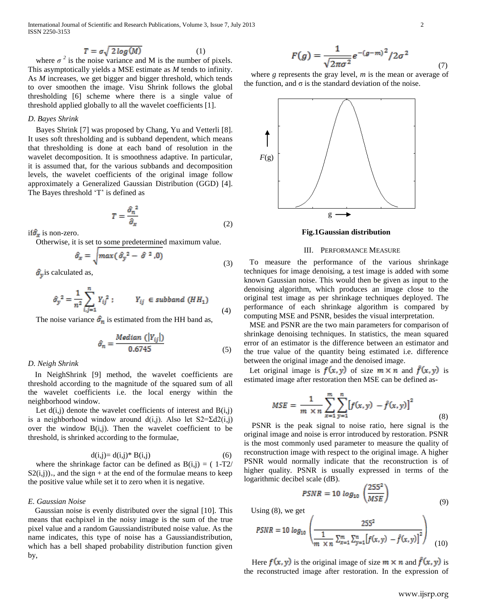International Journal of Scientific and Research Publications, Volume 3, Issue 7, July 2013 2 ISSN 2250-3153

$$
T = \sigma \sqrt{2 \log(M)} \tag{1}
$$

where  $\sigma^2$  is the noise variance and M is the number of pixels. This asymptotically yields a MSE estimate as *M* tends to infinity. As *M* increases, we get bigger and bigger threshold, which tends to over smoothen the image. Visu Shrink follows the global thresholding [6] scheme where there is a single value of threshold applied globally to all the wavelet coefficients [1].

## *D. Bayes Shrink*

Bayes Shrink [7] was proposed by Chang, Yu and Vetterli [8]. It uses soft thresholding and is subband dependent, which means that thresholding is done at each band of resolution in the wavelet decomposition. It is smoothness adaptive. In particular, it is assumed that, for the various subbands and decomposition levels, the wavelet coefficients of the original image follow approximately a Generalized Gaussian Distribution (GGD) [4]. The Bayes threshold 'T' is defined as

$$
T = \frac{\hat{\sigma}_n^2}{\hat{\sigma}_x} \tag{2}
$$

if  $\hat{\sigma}_x$  is non-zero.

Otherwise, it is set to some predetermined maximum value.

$$
\hat{\sigma}_x = \sqrt{max(\hat{\sigma}_y^2 - \hat{\sigma}^2, 0)}
$$
\n(3)

 $\hat{\sigma}_v$  is calculated as,

$$
\hat{\sigma}_{y}^{2} = \frac{1}{n^{2}} \sum_{i,j=1}^{n} Y_{ij}^{2} ; \qquad Y_{ij} \in subband (HH_{1})
$$
\n(4)

The noise variance  $\hat{\sigma}_n$  is estimated from the HH band as,

$$
\hat{\sigma}_n = \frac{Median\ (\left|Y_{ij}\right|)}{0.6745} \tag{5}
$$

### *D. Neigh Shrink*

In NeighShrink [9] method, the wavelet coefficients are threshold according to the magnitude of the squared sum of all the wavelet coefficients i.e. the local energy within the neighborhood window.

Let  $d(i,j)$  denote the wavelet coefficients of interest and  $B(i,j)$ is a neighborhood window around d(i,j). Also let  $S2 = \Sigma d2(i,j)$ over the window  $B(i,j)$ . Then the wavelet coefficient to be threshold, is shrinked according to the formulae,

$$
d(i,j) = d(i,j)^* B(i,j)
$$
 (6)

where the shrinkage factor can be defined as  $B(i,j) = (1-T2)$  $S_2(i,j)_{+}$ , and the sign + at the end of the formulae means to keep the positive value while set it to zero when it is negative.

## *E. Gaussian Noise*

Gaussian noise is evenly distributed over the signal [10]. This means that eachpixel in the noisy image is the sum of the true pixel value and a random Gaussiandistributed noise value. As the name indicates, this type of noise has a Gaussiandistribution, which has a bell shaped probability distribution function given by,

$$
F(g) = \frac{1}{\sqrt{2\pi\sigma^2}} e^{-(g-m)^2} / 2\sigma^2 \tag{7}
$$

where *g* represents the gray level, *m* is the mean or average of the function, and  $\sigma$  is the standard deviation of the noise.



#### **Fig.1Gaussian distribution**

#### III. PERFORMANCE MEASURE

To measure the performance of the various shrinkage techniques for image denoising, a test image is added with some known Gaussian noise. This would then be given as input to the denoising algorithm, which produces an image close to the original test image as per shrinkage techniques deployed. The performance of each shrinkage algorithm is compared by computing MSE and PSNR, besides the visual interpretation.

MSE and PSNR are the two main parameters for comparison of shrinkage denoising techniques. In statistics, the mean squared error of an estimator is the difference between an estimator and the true value of the quantity being estimated i.e. difference between the original image and the denoised image.

Let original image is  $f(x, y)$  of size  $m \times n$  and  $f(x, y)$  is estimated image after restoration then MSE can be defined as-

$$
MSE = \frac{1}{m \times n} \sum_{x=1}^{m} \sum_{y=1}^{n} [f(x, y) - \hat{f}(x, y)]^{2}
$$
(8)

PSNR is the peak signal to noise ratio, here signal is the original image and noise is error introduced by restoration. PSNR is the most commonly used parameter to measure the quality of reconstruction image with respect to the original image. A higher PSNR would normally indicate that the reconstruction is of higher quality. PSNR is usually expressed in terms of the logarithmic decibel scale (dB).

$$
PSNR = 10 \log_{10} \left( \frac{255^2}{MSE} \right) \tag{9}
$$

Using (8), we get

$$
PSNR = 10 \log_{10} \left( \frac{255^2}{\frac{1}{m \times n} \sum_{x=1}^{m} \sum_{y=1}^{n} [f(x, y) - \hat{f}(x, y)]^2} \right)
$$
(10)

Here  $f(x, y)$  is the original image of size  $m \times n$  and  $\hat{f}(x, y)$  is the reconstructed image after restoration. In the expression of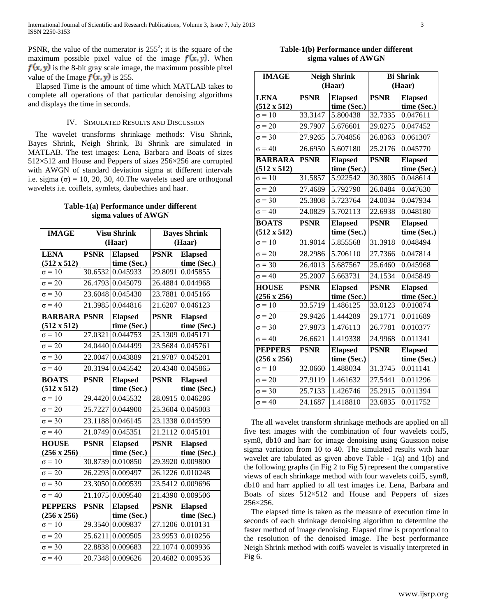PSNR, the value of the numerator is  $255^2$ ; it is the square of the maximum possible pixel value of the image  $f(x, y)$ . When  $f(x, y)$  is the 8-bit gray scale image, the maximum possible pixel value of the Image  $f(x, y)$  is 255.

Elapsed Time is the amount of time which MATLAB takes to complete all operations of that particular denoising algorithms and displays the time in seconds.

## IV. SIMULATED RESULTS AND DISCUSSION

The wavelet transforms shrinkage methods: Visu Shrink, Bayes Shrink, Neigh Shrink, Bi Shrink are simulated in MATLAB. The test images: Lena, Barbara and Boats of sizes 512×512 and House and Peppers of sizes 256×256 are corrupted with AWGN of standard deviation sigma at different intervals i.e. sigma  $(\sigma) = 10, 20, 30, 40$ . The wavelets used are orthogonal wavelets i.e. coiflets, symlets, daubechies and haar.

## **Table-1(a) Performance under different sigma values of AWGN**

| <b>IMAGE</b>        |             | <b>Visu Shrink</b> |             | <b>Bayes Shrink</b> |
|---------------------|-------------|--------------------|-------------|---------------------|
|                     | (Haar)      |                    | (Haar)      |                     |
| <b>LENA</b>         | <b>PSNR</b> | <b>Elapsed</b>     | <b>PSNR</b> | <b>Elapsed</b>      |
| $(512 \times 512)$  |             | time (Sec.)        |             | time (Sec.)         |
| $\sigma = 10$       | 30.6532     | 0.045933           | 29.8091     | 0.045855            |
| $\sigma = 20$       |             | 26.4793 0.045079   | 26.4884     | 0.044968            |
| $\sigma = 30$       | 23.6048     | 0.045430           | 23.7881     | 0.045166            |
| $\sigma = 40$       | 21.3985     | 0.044816           | 21.6207     | 0.046123            |
| <b>BARBARA PSNR</b> |             | <b>Elapsed</b>     | <b>PSNR</b> | <b>Elapsed</b>      |
| $(512 \times 512)$  |             | time (Sec.)        |             | time (Sec.)         |
| $\sigma = 10$       | 27.0321     | 0.044753           | 25.1309     | 0.045171            |
| $\sigma = 20$       |             | 24.0440 0.044499   | 23.5684     | 0.045761            |
| $\sigma = 30$       | 22.0047     | 0.043889           | 21.9787     | 0.045201            |
| $\sigma = 40$       | 20.3194     | 0.045542           | 20.4340     | 0.045865            |
| <b>BOATS</b>        | <b>PSNR</b> | <b>Elapsed</b>     | <b>PSNR</b> | <b>Elapsed</b>      |
| $(512 \times 512)$  |             | time (Sec.)        |             | time (Sec.)         |
| $\sigma = 10$       | 29.4420     | 0.045532           | 28.0915     | 0.046286            |
| $\sigma = 20$       | 25.7227     | 0.044900           | 25.3604     | 0.045003            |
| $\sigma = 30$       | 23.1188     | 0.046145           | 23.1338     | 0.044599            |
| $\sigma = 40$       | 21.0749     | 0.045351           | 21.2112     | 0.045101            |
| <b>HOUSE</b>        | <b>PSNR</b> | <b>Elapsed</b>     | <b>PSNR</b> | <b>Elapsed</b>      |
| $(256 \times 256)$  |             | time (Sec.)        |             | time (Sec.)         |
| $\sigma = 10$       | 30.8739     | 0.010850           | 29.3920     | 0.009800            |
| $\sigma = 20$       | 26.2293     | 0.009497           | 26.1226     | 0.010248            |
| $\sigma = 30$       | 23.3050     | 0.009539           | 23.5412     | 0.009696            |
| $\sigma = 40$       | 21.1075     | 0.009540           | 21.4390     | 0.009506            |
| <b>PEPPERS</b>      | <b>PSNR</b> | <b>Elapsed</b>     | <b>PSNR</b> | <b>Elapsed</b>      |
| $(256 \times 256)$  |             | time (Sec.)        |             | time (Sec.)         |
| $\sigma = 10$       | 29.3540     | 0.009837           | 27.1206     | 0.010131            |
| $\sigma = 20$       | 25.6211     | 0.009505           | 23.9953     | 0.010256            |
| $\sigma = 30$       | 22.8838     | 0.009683           | 22.1074     | 0.009936            |
| $\sigma = 40$       | 20.7348     | 0.009626           | 20.4682     | 0.009536            |

## **Table-1(b) Performance under different sigma values of AWGN**

| <b>IMAGE</b>                         | <b>Neigh Shrink</b><br>(Haar) |                               | <b>Bi</b> Shrink<br>(Haar) |                               |
|--------------------------------------|-------------------------------|-------------------------------|----------------------------|-------------------------------|
| <b>LENA</b><br>$(512 \times 512)$    | <b>PSNR</b>                   | <b>Elapsed</b><br>time (Sec.) | <b>PSNR</b>                | <b>Elapsed</b><br>time (Sec.) |
| $\sigma = 10$                        | 33.3147                       | 5.800438                      | 32.7335                    | 0.047611                      |
| $\sigma = 20$                        | 29.7907                       | 5.676601                      | 29.0275                    | 0.047452                      |
| $\sigma = 30$                        | 27.9265                       | 5.704856                      | 26.8363                    | 0.061307                      |
| $\sigma = 40$                        | 26.6950                       | 5.607180                      | 25.2176                    | 0.045770                      |
| <b>BARBARA</b><br>$(512 \times 512)$ | <b>PSNR</b>                   | <b>Elapsed</b><br>time (Sec.) | <b>PSNR</b>                | <b>Elapsed</b><br>time (Sec.) |
| $\sigma = 10$                        | 31.5857                       | 5.922542                      | 30.3805                    | 0.048614                      |
| $\sigma = 20$                        | 27.4689                       | 5.792790                      | 26.0484                    | 0.047630                      |
| $\sigma = 30$                        | 25.3808                       | 5.723764                      | 24.0034                    | 0.047934                      |
| $\sigma = 40$                        | 24.0829                       | 5.702113                      | 22.6938                    | 0.048180                      |
| <b>BOATS</b><br>$(512 \times 512)$   | <b>PSNR</b>                   | <b>Elapsed</b><br>time (Sec.) | <b>PSNR</b>                | <b>Elapsed</b><br>time (Sec.) |
| $\sigma = 10$                        | 31.9014                       | 5.855568                      | 31.3918                    | 0.048494                      |
| $\sigma = 20$                        | 28.2986                       | 5.706110                      | 27.7366                    | 0.047814                      |
| $\sigma = 30$                        | 26.4013                       | 5.687567                      | 25.6460                    | 0.045968                      |
| $\sigma = 40$                        | 25.2007                       | 5.663731                      | 24.1534                    | 0.045849                      |
| <b>HOUSE</b><br>$(256 \times 256)$   | <b>PSNR</b>                   | <b>Elapsed</b><br>time (Sec.) | <b>PSNR</b>                | <b>Elapsed</b><br>time (Sec.) |
| $\sigma = 10$                        | 33.5719                       | 1.486125                      | 33.0123                    | 0.010874                      |
| $\sigma = 20$                        | 29.9426                       | 1.444289                      | 29.1771                    | 0.011689                      |
| $\sigma = 30$                        | 27.9873                       | 1.476113                      | 26.7781                    | 0.010377                      |
| $\sigma = 40$                        | 26.6621                       | 1.419338                      | 24.9968                    | 0.011341                      |
| <b>PEPPERS</b>                       | <b>PSNR</b>                   | <b>Elapsed</b>                | <b>PSNR</b>                | <b>Elapsed</b>                |
| $(256 \times 256)$                   |                               | time (Sec.)                   |                            | time (Sec.)                   |
| $\sigma = 10$                        | 32.0660                       | 1.488034                      | 31.3745                    | 0.011141                      |
| $\sigma = 20$                        | 27.9119                       | 1.461632                      | 27.5441                    | 0.011296                      |
| $\sigma = 30$                        | 25.7133                       | 1.426746                      | 25.2915                    | 0.011394                      |
| $\sigma = 40$                        | 24.1687                       | 1.418810                      | 23.6835                    | 0.011752                      |

The all wavelet transform shrinkage methods are applied on all five test images with the combination of four wavelets coif5, sym8, db10 and harr for image denoising using Gaussion noise sigma variation from 10 to 40. The simulated results with haar wavelet are tabulated as given above Table - 1(a) and 1(b) and the following graphs (in Fig 2 to Fig 5) represent the comparative views of each shrinkage method with four wavelets coif5, sym8, db10 and harr applied to all test images i.e. Lena, Barbara and Boats of sizes 512×512 and House and Peppers of sizes 256×256.

The elapsed time is taken as the measure of execution time in seconds of each shrinkage denoising algorithm to determine the faster method of image denoising. Elapsed time is proportional to the resolution of the denoised image. The best performance Neigh Shrink method with coif5 wavelet is visually interpreted in Fig 6.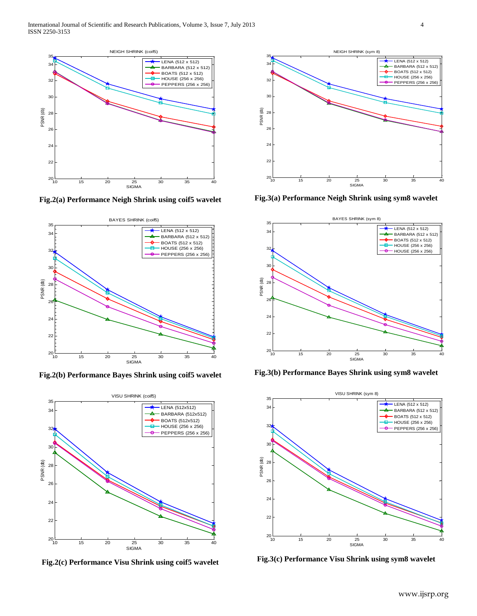

**Fig.2(a) Performance Neigh Shrink using coif5 wavelet**



**Fig.2(b) Performance Bayes Shrink using coif5 wavelet**



**Fig.2(c) Performance Visu Shrink using coif5 wavelet**



**Fig.3(a) Performance Neigh Shrink using sym8 wavelet**



**Fig.3(b) Performance Bayes Shrink using sym8 wavelet**



**Fig.3(c) Performance Visu Shrink using sym8 wavelet**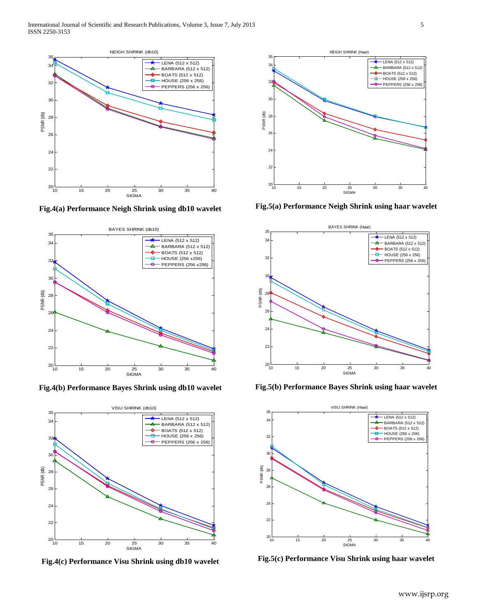

**Fig.4(a) Performance Neigh Shrink using db10 wavelet**



**Fig.4(b) Performance Bayes Shrink using db10 wavelet**



**Fig.4(c) Performance Visu Shrink using db10 wavelet**



**Fig.5(a) Performance Neigh Shrink using haar wavelet**



**Fig.5(b) Performance Bayes Shrink using haar wavelet**



**Fig.5(c) Performance Visu Shrink using haar wavelet**